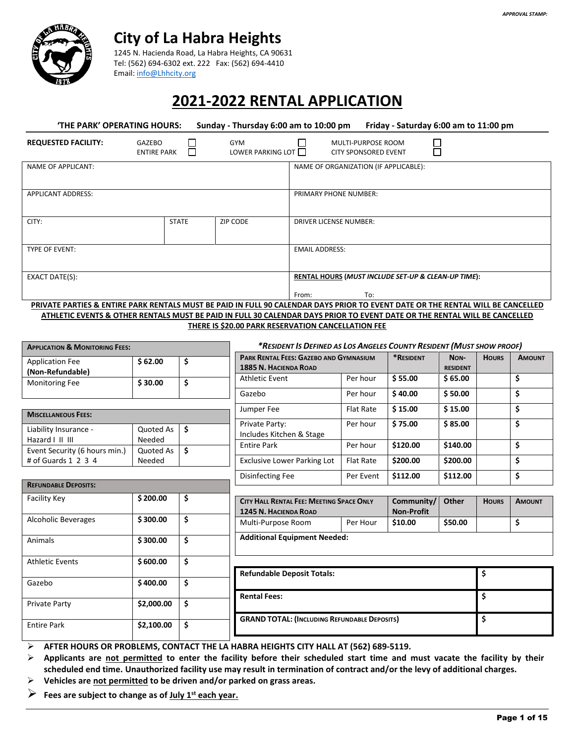

## **City of La Habra Heights**

 1245 N. Hacienda Road, La Habra Heights, CA 90631 Tel: (562) 694-6302 ext. 222 Fax: (562) 694-4410 Email[: info@Lhhcity.org](mailto:info@Lhhcity.org)

# **2021-2022 RENTAL APPLICATION**

| 'THE PARK' OPERATING HOURS:<br>Sunday - Thursday 6:00 am to 10:00 pm                                                            |                                   |                                 | Friday - Saturday 6:00 am to 11:00 pm                               |  |
|---------------------------------------------------------------------------------------------------------------------------------|-----------------------------------|---------------------------------|---------------------------------------------------------------------|--|
| <b>REQUESTED FACILITY:</b>                                                                                                      | GAZEBO<br>П<br><b>ENTIRE PARK</b> | <b>GYM</b><br>LOWER PARKING LOT | MULTI-PURPOSE ROOM<br><b>CITY SPONSORED EVENT</b>                   |  |
| <b>NAME OF APPLICANT:</b>                                                                                                       |                                   |                                 | NAME OF ORGANIZATION (IF APPLICABLE):                               |  |
| <b>APPLICANT ADDRESS:</b>                                                                                                       |                                   |                                 | PRIMARY PHONE NUMBER:                                               |  |
| CITY:                                                                                                                           | <b>STATE</b>                      | <b>ZIP CODE</b>                 | <b>DRIVER LICENSE NUMBER:</b>                                       |  |
| <b>TYPE OF EVENT:</b>                                                                                                           |                                   |                                 | <b>EMAIL ADDRESS:</b>                                               |  |
| EXACT DATE(S):                                                                                                                  |                                   |                                 | RENTAL HOURS (MUST INCLUDE SET-UP & CLEAN-UP TIME):<br>To:<br>From: |  |
| PRIVATE PARTIES & ENTIRE PARK RENTALS MUST BE PAID IN FULL 90 CALENDAR DAYS PRIOR TO EVENT DATE OR THE RENTAL WILL BE CANCELLED |                                   |                                 |                                                                     |  |

**ATHLETIC EVENTS & OTHER RENTALS MUST BE PAID IN FULL 30 CALENDAR DAYS PRIOR TO EVENT DATE OR THE RENTAL WILL BE CANCELLED THERE IS \$20.00 PARK RESERVATION CANCELLATION FEE** 

| <b>APPLICATION &amp; MONITORING FEES:</b>  |            | *RESIDENT IS DEFINED AS LOS ANGELES COUNTY RESIDENT (MUST SHOW PROOF) |                                                                        |                  |                   |                         |              |               |
|--------------------------------------------|------------|-----------------------------------------------------------------------|------------------------------------------------------------------------|------------------|-------------------|-------------------------|--------------|---------------|
| <b>Application Fee</b><br>(Non-Refundable) | \$62.00    | \$                                                                    | PARK RENTAL FEES: GAZEBO AND GYMNASIUM<br><b>1885 N. HACIENDA ROAD</b> |                  | *RESIDENT         | NON-<br><b>RESIDENT</b> | <b>HOURS</b> | <b>AMOUNT</b> |
| <b>Monitoring Fee</b>                      | \$30.00    | \$                                                                    | <b>Athletic Event</b>                                                  | Per hour         | \$55.00           | \$65.00                 |              | \$            |
|                                            |            |                                                                       | Gazebo                                                                 | Per hour         | \$40.00           | \$50.00                 |              | \$            |
|                                            |            |                                                                       | Jumper Fee                                                             | <b>Flat Rate</b> | \$15.00           | \$15.00                 |              | \$            |
| <b>MISCELLANEOUS FEES:</b>                 |            |                                                                       |                                                                        |                  |                   |                         |              |               |
| Liability Insurance -                      | Quoted As  | \$                                                                    | Private Party:<br>Includes Kitchen & Stage                             | Per hour         | \$75.00           | \$85.00                 |              | \$            |
| Hazard I II III                            | Needed     |                                                                       | <b>Entire Park</b>                                                     | Per hour         | \$120.00          | \$140.00                |              | \$            |
| Event Security (6 hours min.)              | Quoted As  | \$                                                                    |                                                                        |                  |                   |                         |              |               |
| # of Guards 1 2 3 4                        | Needed     |                                                                       | <b>Exclusive Lower Parking Lot</b>                                     | <b>Flat Rate</b> | \$200.00          | \$200.00                |              | \$            |
|                                            |            | <b>Disinfecting Fee</b>                                               | Per Event                                                              | \$112.00         | \$112.00          |                         | \$           |               |
| <b>REFUNDABLE DEPOSITS:</b>                |            |                                                                       |                                                                        |                  |                   |                         |              |               |
| Facility Key                               | \$200.00   | \$                                                                    | CITY HALL RENTAL FEE: MEETING SPACE ONLY                               |                  | Community/        | <b>Other</b>            | <b>HOURS</b> | <b>AMOUNT</b> |
|                                            |            |                                                                       | <b>1245 N. HACIENDA ROAD</b>                                           |                  | <b>Non-Profit</b> |                         |              |               |
| <b>Alcoholic Beverages</b>                 | \$300.00   | \$                                                                    | Multi-Purpose Room                                                     | Per Hour         | \$10.00           | \$50.00                 |              | \$            |
| Animals                                    | \$300.00   | \$                                                                    | <b>Additional Equipment Needed:</b>                                    |                  |                   |                         |              |               |
|                                            |            |                                                                       |                                                                        |                  |                   |                         |              |               |
| <b>Athletic Events</b>                     | \$600.00   | \$                                                                    |                                                                        |                  |                   |                         |              |               |
|                                            |            |                                                                       | <b>Refundable Deposit Totals:</b>                                      |                  |                   |                         | \$           |               |
| Gazebo                                     | \$400.00   | \$                                                                    |                                                                        |                  |                   |                         |              |               |
|                                            |            |                                                                       | \$<br><b>Rental Fees:</b>                                              |                  |                   |                         |              |               |
| Private Party                              | \$2,000.00 | \$                                                                    |                                                                        |                  |                   |                         |              |               |
| <b>Entire Park</b>                         | \$2,100.00 | \$                                                                    | \$<br><b>GRAND TOTAL: (INCLUDING REFUNDABLE DEPOSITS)</b>              |                  |                   |                         |              |               |
|                                            |            |                                                                       |                                                                        |                  |                   |                         |              |               |

**AFTER HOURS OR PROBLEMS, CONTACT THE LA HABRA HEIGHTS CITY HALL AT (562) 689-5119.**

 **Applicants are not permitted to enter the facility before their scheduled start time and must vacate the facility by their scheduled end time. Unauthorized facility use may result in termination of contract and/or the levy of additional charges.**

**Vehicles are not permitted to be driven and/or parked on grass areas.**

**Fees are subject to change as of July 1st each year.**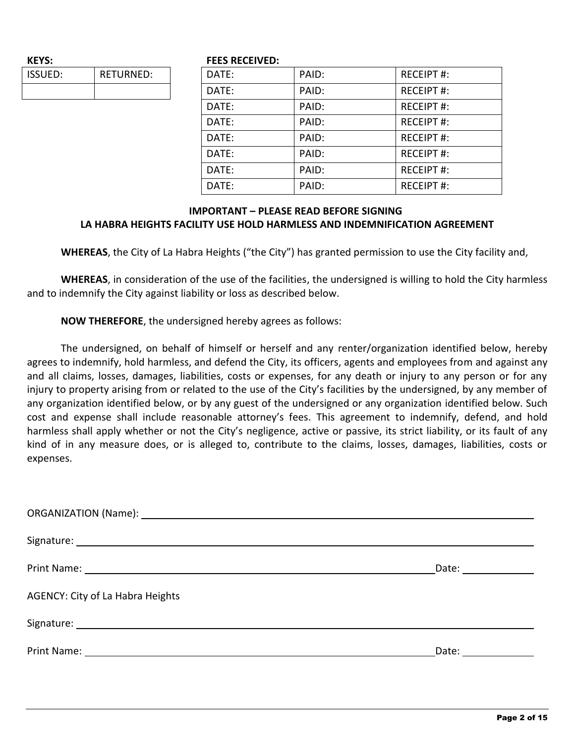| <b>KEYS:</b>   |                  |
|----------------|------------------|
| <b>ISSUED:</b> | <b>RETURNED:</b> |
|                |                  |

#### **FEES RECEIVED:**

| DATE: | PAID: | <b>RECEIPT#:</b> |
|-------|-------|------------------|
| DATE: | PAID: | <b>RECEIPT#:</b> |
| DATE: | PAID: | <b>RECEIPT#:</b> |
| DATE: | PAID: | <b>RECEIPT#:</b> |
| DATE: | PAID: | <b>RECEIPT#:</b> |
| DATE: | PAID: | <b>RECEIPT#:</b> |
| DATE: | PAID: | <b>RECEIPT#:</b> |
| DATE: | PAID: | <b>RECEIPT#:</b> |

#### **IMPORTANT – PLEASE READ BEFORE SIGNING LA HABRA HEIGHTS FACILITY USE HOLD HARMLESS AND INDEMNIFICATION AGREEMENT**

**WHEREAS**, the City of La Habra Heights ("the City") has granted permission to use the City facility and,

**WHEREAS**, in consideration of the use of the facilities, the undersigned is willing to hold the City harmless and to indemnify the City against liability or loss as described below.

**NOW THEREFORE**, the undersigned hereby agrees as follows:

The undersigned, on behalf of himself or herself and any renter/organization identified below, hereby agrees to indemnify, hold harmless, and defend the City, its officers, agents and employees from and against any and all claims, losses, damages, liabilities, costs or expenses, for any death or injury to any person or for any injury to property arising from or related to the use of the City's facilities by the undersigned, by any member of any organization identified below, or by any guest of the undersigned or any organization identified below. Such cost and expense shall include reasonable attorney's fees. This agreement to indemnify, defend, and hold harmless shall apply whether or not the City's negligence, active or passive, its strict liability, or its fault of any kind of in any measure does, or is alleged to, contribute to the claims, losses, damages, liabilities, costs or expenses.

| Print Name: <u>Department</u> of the contract of the contract of the contract of the contract of the contract of the contract of the contract of the contract of the contract of the contract of the contract of the contract of th | Date: _______________ |
|-------------------------------------------------------------------------------------------------------------------------------------------------------------------------------------------------------------------------------------|-----------------------|
| AGENCY: City of La Habra Heights                                                                                                                                                                                                    |                       |
|                                                                                                                                                                                                                                     |                       |
|                                                                                                                                                                                                                                     | Date: __________      |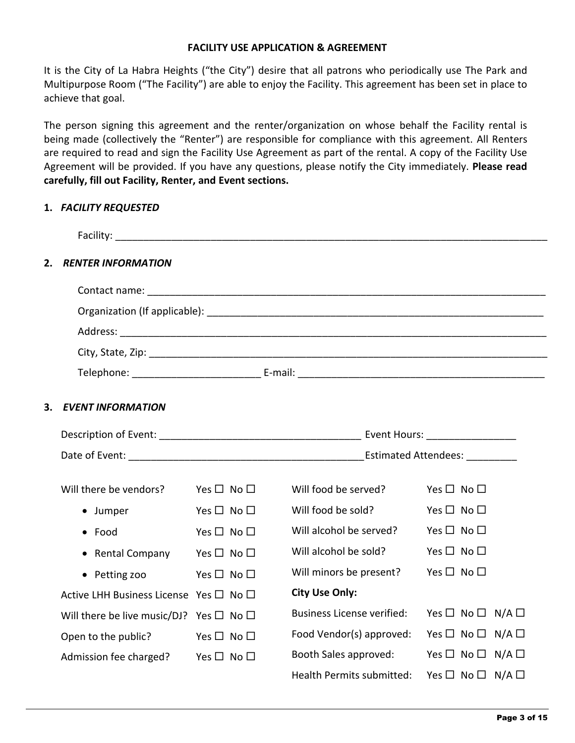#### **FACILITY USE APPLICATION & AGREEMENT**

It is the City of La Habra Heights ("the City") desire that all patrons who periodically use The Park and Multipurpose Room ("The Facility") are able to enjoy the Facility. This agreement has been set in place to achieve that goal.

The person signing this agreement and the renter/organization on whose behalf the Facility rental is being made (collectively the "Renter") are responsible for compliance with this agreement. All Renters are required to read and sign the Facility Use Agreement as part of the rental. A copy of the Facility Use Agreement will be provided. If you have any questions, please notify the City immediately. **Please read carefully, fill out Facility, Renter, and Event sections.**

#### **1.** *FACILITY REQUESTED*

| 2. | <b>RENTER INFORMATION</b>                         |                            |                                                          |                                          |
|----|---------------------------------------------------|----------------------------|----------------------------------------------------------|------------------------------------------|
|    |                                                   |                            |                                                          |                                          |
|    |                                                   |                            |                                                          |                                          |
|    |                                                   |                            |                                                          |                                          |
|    |                                                   |                            |                                                          |                                          |
|    |                                                   |                            |                                                          |                                          |
| 3. | <b>EVENT INFORMATION</b>                          |                            |                                                          |                                          |
|    |                                                   |                            |                                                          |                                          |
|    |                                                   |                            |                                                          |                                          |
|    | Will there be vendors? Yes $\square$ No $\square$ |                            | Will food be served?                                     | Yes $\Box$ No $\Box$                     |
|    | • Jumper                                          | Yes $\square$ No $\square$ | Will food be sold?                                       | Yes $\square$ No $\square$               |
|    | $\bullet$ Food                                    | Yes $\square$ No $\square$ | Will alcohol be served? Yes $\square$ No $\square$       |                                          |
|    | • Rental Company Yes $\Box$ No $\Box$             |                            | Will alcohol be sold?                                    | Yes $\square$ No $\square$               |
|    | • Petting zoo Yes $\Box$ No $\Box$                |                            | Will minors be present? Yes $\Box$ No $\Box$             |                                          |
|    | Active LHH Business License Yes □ No □            |                            | <b>City Use Only:</b>                                    |                                          |
|    | Will there be live music/DJ? Yes $\Box$ No $\Box$ |                            | <b>Business License verified:</b>                        | Yes $\square$ No $\square$ N/A $\square$ |
|    | Open to the public?                               | $Yes \Box No \Box$         | Food Vendor(s) approved: Yes $\Box$ No $\Box$ N/A $\Box$ |                                          |
|    | Admission fee charged? Yes $\square$ No $\square$ |                            | Booth Sales approved: Yes $\Box$ No $\Box$ N/A $\Box$    |                                          |
|    |                                                   |                            | Health Permits submitted:                                | Yes $\square$ No $\square$ N/A $\square$ |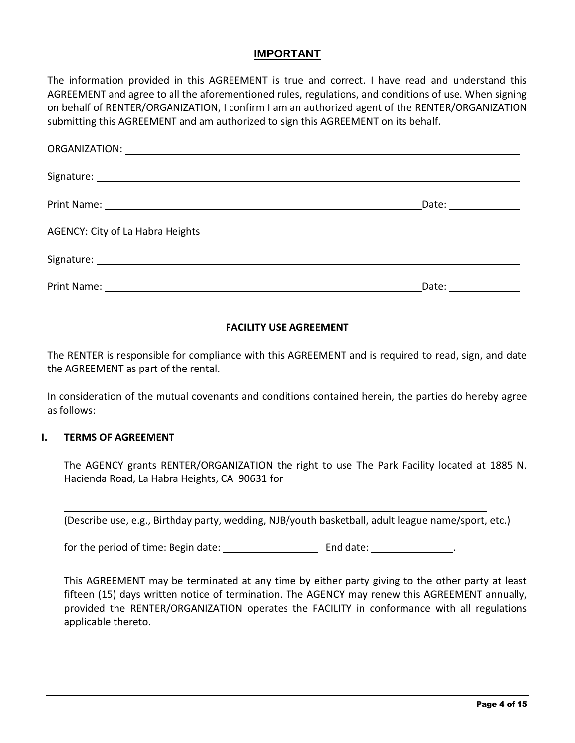## **IMPORTANT**

The information provided in this AGREEMENT is true and correct. I have read and understand this AGREEMENT and agree to all the aforementioned rules, regulations, and conditions of use. When signing on behalf of RENTER/ORGANIZATION, I confirm I am an authorized agent of the RENTER/ORGANIZATION submitting this AGREEMENT and am authorized to sign this AGREEMENT on its behalf.

|                                  | Date: ________________ |
|----------------------------------|------------------------|
| AGENCY: City of La Habra Heights |                        |
|                                  |                        |
|                                  | Date: __________       |

## **FACILITY USE AGREEMENT**

The RENTER is responsible for compliance with this AGREEMENT and is required to read, sign, and date the AGREEMENT as part of the rental.

In consideration of the mutual covenants and conditions contained herein, the parties do hereby agree as follows:

#### **I. TERMS OF AGREEMENT**

The AGENCY grants RENTER/ORGANIZATION the right to use The Park Facility located at 1885 N. Hacienda Road, La Habra Heights, CA 90631 for

(Describe use, e.g., Birthday party, wedding, NJB/youth basketball, adult league name/sport, etc.)

for the period of time: Begin date:  $\qquad \qquad$  End date:  $\qquad \qquad$ 

This AGREEMENT may be terminated at any time by either party giving to the other party at least fifteen (15) days written notice of termination. The AGENCY may renew this AGREEMENT annually, provided the RENTER/ORGANIZATION operates the FACILITY in conformance with all regulations applicable thereto.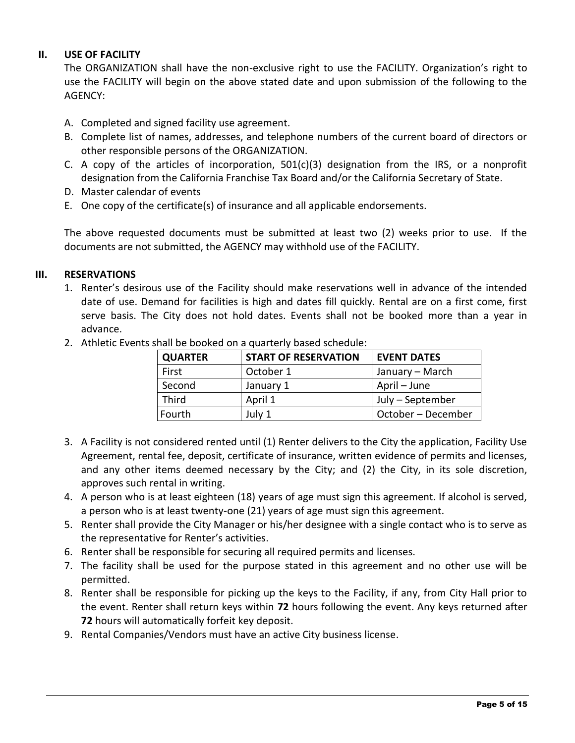#### **II. USE OF FACILITY**

The ORGANIZATION shall have the non-exclusive right to use the FACILITY. Organization's right to use the FACILITY will begin on the above stated date and upon submission of the following to the AGENCY:

- A. Completed and signed facility use agreement.
- B. Complete list of names, addresses, and telephone numbers of the current board of directors or other responsible persons of the ORGANIZATION.
- C. A copy of the articles of incorporation, 501(c)(3) designation from the IRS, or a nonprofit designation from the California Franchise Tax Board and/or the California Secretary of State.
- D. Master calendar of events
- E. One copy of the certificate(s) of insurance and all applicable endorsements.

The above requested documents must be submitted at least two (2) weeks prior to use. If the documents are not submitted, the AGENCY may withhold use of the FACILITY.

#### **III. RESERVATIONS**

1. Renter's desirous use of the Facility should make reservations well in advance of the intended date of use. Demand for facilities is high and dates fill quickly. Rental are on a first come, first serve basis. The City does not hold dates. Events shall not be booked more than a year in advance.

| <b>QUARTER</b> | <b>START OF RESERVATION</b> | <b>EVENT DATES</b> |  |  |
|----------------|-----------------------------|--------------------|--|--|
| First          | October 1                   | January – March    |  |  |
| Second         | January 1                   | April – June       |  |  |
| <b>Third</b>   | April 1                     | July – September   |  |  |
| Fourth         | July 1                      | October - December |  |  |

2. Athletic Events shall be booked on a quarterly based schedule:

- 3. A Facility is not considered rented until (1) Renter delivers to the City the application, Facility Use Agreement, rental fee, deposit, certificate of insurance, written evidence of permits and licenses, and any other items deemed necessary by the City; and (2) the City, in its sole discretion, approves such rental in writing.
- 4. A person who is at least eighteen (18) years of age must sign this agreement. If alcohol is served, a person who is at least twenty-one (21) years of age must sign this agreement.
- 5. Renter shall provide the City Manager or his/her designee with a single contact who is to serve as the representative for Renter's activities.
- 6. Renter shall be responsible for securing all required permits and licenses.
- 7. The facility shall be used for the purpose stated in this agreement and no other use will be permitted.
- 8. Renter shall be responsible for picking up the keys to the Facility, if any, from City Hall prior to the event. Renter shall return keys within **72** hours following the event. Any keys returned after **72** hours will automatically forfeit key deposit.
- 9. Rental Companies/Vendors must have an active City business license.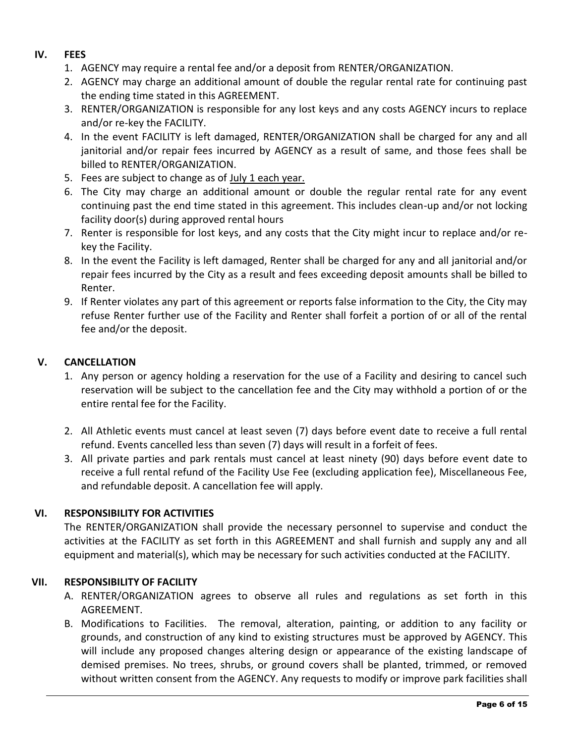#### **IV. FEES**

- 1. AGENCY may require a rental fee and/or a deposit from RENTER/ORGANIZATION.
- 2. AGENCY may charge an additional amount of double the regular rental rate for continuing past the ending time stated in this AGREEMENT.
- 3. RENTER/ORGANIZATION is responsible for any lost keys and any costs AGENCY incurs to replace and/or re-key the FACILITY.
- 4. In the event FACILITY is left damaged, RENTER/ORGANIZATION shall be charged for any and all janitorial and/or repair fees incurred by AGENCY as a result of same, and those fees shall be billed to RENTER/ORGANIZATION.
- 5. Fees are subject to change as of July 1 each year.
- 6. The City may charge an additional amount or double the regular rental rate for any event continuing past the end time stated in this agreement. This includes clean-up and/or not locking facility door(s) during approved rental hours
- 7. Renter is responsible for lost keys, and any costs that the City might incur to replace and/or rekey the Facility.
- 8. In the event the Facility is left damaged, Renter shall be charged for any and all janitorial and/or repair fees incurred by the City as a result and fees exceeding deposit amounts shall be billed to Renter.
- 9. If Renter violates any part of this agreement or reports false information to the City, the City may refuse Renter further use of the Facility and Renter shall forfeit a portion of or all of the rental fee and/or the deposit.

## **V. CANCELLATION**

- 1. Any person or agency holding a reservation for the use of a Facility and desiring to cancel such reservation will be subject to the cancellation fee and the City may withhold a portion of or the entire rental fee for the Facility.
- 2. All Athletic events must cancel at least seven (7) days before event date to receive a full rental refund. Events cancelled less than seven (7) days will result in a forfeit of fees.
- 3. All private parties and park rentals must cancel at least ninety (90) days before event date to receive a full rental refund of the Facility Use Fee (excluding application fee), Miscellaneous Fee, and refundable deposit. A cancellation fee will apply.

## **VI. RESPONSIBILITY FOR ACTIVITIES**

The RENTER/ORGANIZATION shall provide the necessary personnel to supervise and conduct the activities at the FACILITY as set forth in this AGREEMENT and shall furnish and supply any and all equipment and material(s), which may be necessary for such activities conducted at the FACILITY.

## **VII. RESPONSIBILITY OF FACILITY**

- A. RENTER/ORGANIZATION agrees to observe all rules and regulations as set forth in this AGREEMENT.
- B. Modifications to Facilities. The removal, alteration, painting, or addition to any facility or grounds, and construction of any kind to existing structures must be approved by AGENCY. This will include any proposed changes altering design or appearance of the existing landscape of demised premises. No trees, shrubs, or ground covers shall be planted, trimmed, or removed without written consent from the AGENCY. Any requests to modify or improve park facilities shall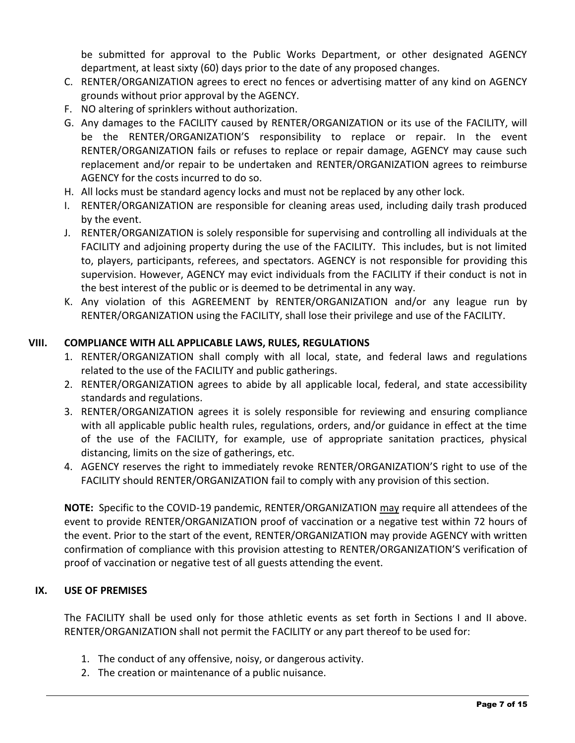be submitted for approval to the Public Works Department, or other designated AGENCY department, at least sixty (60) days prior to the date of any proposed changes.

- C. RENTER/ORGANIZATION agrees to erect no fences or advertising matter of any kind on AGENCY grounds without prior approval by the AGENCY.
- F. NO altering of sprinklers without authorization.
- G. Any damages to the FACILITY caused by RENTER/ORGANIZATION or its use of the FACILITY, will be the RENTER/ORGANIZATION'S responsibility to replace or repair. In the event RENTER/ORGANIZATION fails or refuses to replace or repair damage, AGENCY may cause such replacement and/or repair to be undertaken and RENTER/ORGANIZATION agrees to reimburse AGENCY for the costs incurred to do so.
- H. All locks must be standard agency locks and must not be replaced by any other lock.
- I. RENTER/ORGANIZATION are responsible for cleaning areas used, including daily trash produced by the event.
- J. RENTER/ORGANIZATION is solely responsible for supervising and controlling all individuals at the FACILITY and adjoining property during the use of the FACILITY. This includes, but is not limited to, players, participants, referees, and spectators. AGENCY is not responsible for providing this supervision. However, AGENCY may evict individuals from the FACILITY if their conduct is not in the best interest of the public or is deemed to be detrimental in any way.
- K. Any violation of this AGREEMENT by RENTER/ORGANIZATION and/or any league run by RENTER/ORGANIZATION using the FACILITY, shall lose their privilege and use of the FACILITY.

## **VIII. COMPLIANCE WITH ALL APPLICABLE LAWS, RULES, REGULATIONS**

- 1. RENTER/ORGANIZATION shall comply with all local, state, and federal laws and regulations related to the use of the FACILITY and public gatherings.
- 2. RENTER/ORGANIZATION agrees to abide by all applicable local, federal, and state accessibility standards and regulations.
- 3. RENTER/ORGANIZATION agrees it is solely responsible for reviewing and ensuring compliance with all applicable public health rules, regulations, orders, and/or guidance in effect at the time of the use of the FACILITY, for example, use of appropriate sanitation practices, physical distancing, limits on the size of gatherings, etc.
- 4. AGENCY reserves the right to immediately revoke RENTER/ORGANIZATION'S right to use of the FACILITY should RENTER/ORGANIZATION fail to comply with any provision of this section.

**NOTE:** Specific to the COVID-19 pandemic, RENTER/ORGANIZATION may require all attendees of the event to provide RENTER/ORGANIZATION proof of vaccination or a negative test within 72 hours of the event. Prior to the start of the event, RENTER/ORGANIZATION may provide AGENCY with written confirmation of compliance with this provision attesting to RENTER/ORGANIZATION'S verification of proof of vaccination or negative test of all guests attending the event.

## **IX. USE OF PREMISES**

The FACILITY shall be used only for those athletic events as set forth in Sections I and II above. RENTER/ORGANIZATION shall not permit the FACILITY or any part thereof to be used for:

- 1. The conduct of any offensive, noisy, or dangerous activity.
- 2. The creation or maintenance of a public nuisance.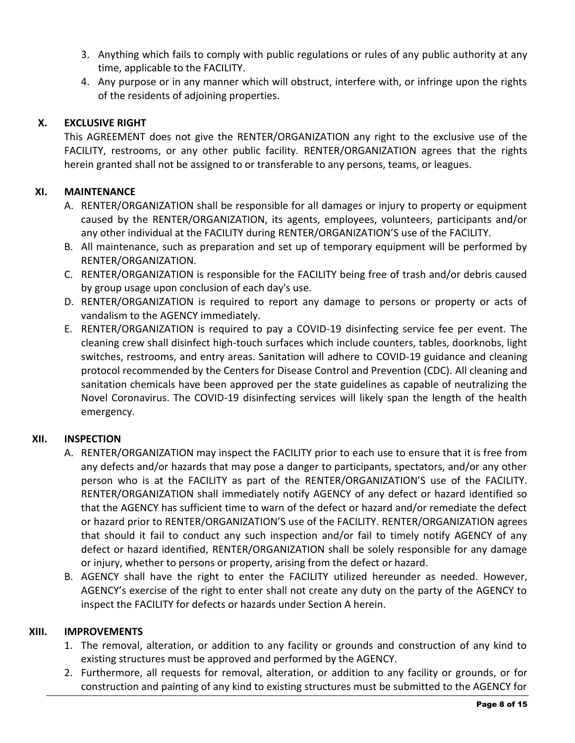- 3. Anything which fails to comply with public regulations or rules of any public authority at any time, applicable to the FACILITY.
- 4. Any purpose or in any manner which will obstruct, interfere with, or infringe upon the rights of the residents of adjoining properties.

## **X. EXCLUSIVE RIGHT**

This AGREEMENT does not give the RENTER/ORGANIZATION any right to the exclusive use of the FACILITY, restrooms, or any other public facility. RENTER/ORGANIZATION agrees that the rights herein granted shall not be assigned to or transferable to any persons, teams, or leagues.

## **XI. MAINTENANCE**

- A. RENTER/ORGANIZATION shall be responsible for all damages or injury to property or equipment caused by the RENTER/ORGANIZATION, its agents, employees, volunteers, participants and/or any other individual at the FACILITY during RENTER/ORGANIZATION'S use of the FACILITY.
- B. All maintenance, such as preparation and set up of temporary equipment will be performed by RENTER/ORGANIZATION.
- C. RENTER/ORGANIZATION is responsible for the FACILITY being free of trash and/or debris caused by group usage upon conclusion of each day's use.
- D. RENTER/ORGANIZATION is required to report any damage to persons or property or acts of vandalism to the AGENCY immediately.
- E. RENTER/ORGANIZATION is required to pay a COVID-19 disinfecting service fee per event. The cleaning crew shall disinfect high-touch surfaces which include counters, tables, doorknobs, light switches, restrooms, and entry areas. Sanitation will adhere to COVID-19 guidance and cleaning protocol recommended by the Centers for Disease Control and Prevention (CDC). All cleaning and sanitation chemicals have been approved per the state guidelines as capable of neutralizing the Novel Coronavirus. The COVID-19 disinfecting services will likely span the length of the health emergency.

## **XII. INSPECTION**

- A. RENTER/ORGANIZATION may inspect the FACILITY prior to each use to ensure that it is free from any defects and/or hazards that may pose a danger to participants, spectators, and/or any other person who is at the FACILITY as part of the RENTER/ORGANIZATION'S use of the FACILITY. RENTER/ORGANIZATION shall immediately notify AGENCY of any defect or hazard identified so that the AGENCY has sufficient time to warn of the defect or hazard and/or remediate the defect or hazard prior to RENTER/ORGANIZATION'S use of the FACILITY. RENTER/ORGANIZATION agrees that should it fail to conduct any such inspection and/or fail to timely notify AGENCY of any defect or hazard identified, RENTER/ORGANIZATION shall be solely responsible for any damage or injury, whether to persons or property, arising from the defect or hazard.
- B. AGENCY shall have the right to enter the FACILITY utilized hereunder as needed. However, AGENCY's exercise of the right to enter shall not create any duty on the party of the AGENCY to inspect the FACILITY for defects or hazards under Section A herein.

## **XIII. IMPROVEMENTS**

- 1. The removal, alteration, or addition to any facility or grounds and construction of any kind to existing structures must be approved and performed by the AGENCY.
- 2. Furthermore, all requests for removal, alteration, or addition to any facility or grounds, or for construction and painting of any kind to existing structures must be submitted to the AGENCY for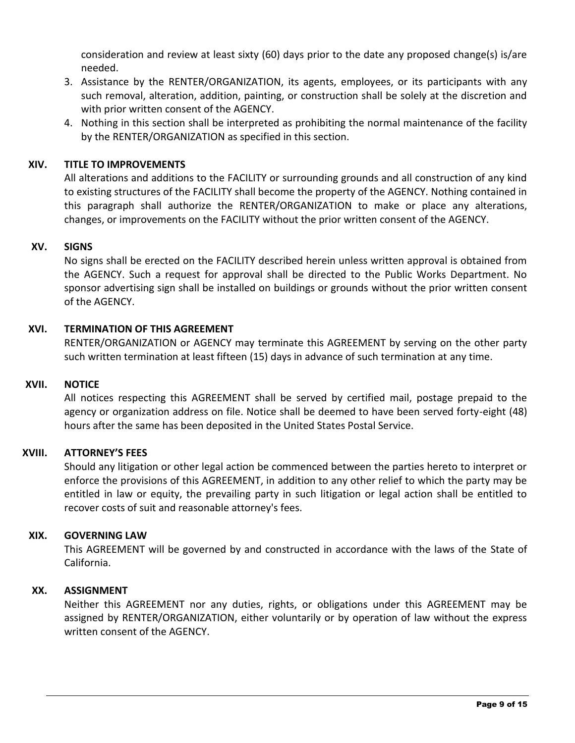consideration and review at least sixty (60) days prior to the date any proposed change(s) is/are needed.

- 3. Assistance by the RENTER/ORGANIZATION, its agents, employees, or its participants with any such removal, alteration, addition, painting, or construction shall be solely at the discretion and with prior written consent of the AGENCY.
- 4. Nothing in this section shall be interpreted as prohibiting the normal maintenance of the facility by the RENTER/ORGANIZATION as specified in this section.

## **XIV. TITLE TO IMPROVEMENTS**

All alterations and additions to the FACILITY or surrounding grounds and all construction of any kind to existing structures of the FACILITY shall become the property of the AGENCY. Nothing contained in this paragraph shall authorize the RENTER/ORGANIZATION to make or place any alterations, changes, or improvements on the FACILITY without the prior written consent of the AGENCY.

#### **XV. SIGNS**

No signs shall be erected on the FACILITY described herein unless written approval is obtained from the AGENCY. Such a request for approval shall be directed to the Public Works Department. No sponsor advertising sign shall be installed on buildings or grounds without the prior written consent of the AGENCY.

#### **XVI. TERMINATION OF THIS AGREEMENT**

RENTER/ORGANIZATION or AGENCY may terminate this AGREEMENT by serving on the other party such written termination at least fifteen (15) days in advance of such termination at any time.

#### **XVII. NOTICE**

All notices respecting this AGREEMENT shall be served by certified mail, postage prepaid to the agency or organization address on file. Notice shall be deemed to have been served forty-eight (48) hours after the same has been deposited in the United States Postal Service.

#### **XVIII. ATTORNEY'S FEES**

Should any litigation or other legal action be commenced between the parties hereto to interpret or enforce the provisions of this AGREEMENT, in addition to any other relief to which the party may be entitled in law or equity, the prevailing party in such litigation or legal action shall be entitled to recover costs of suit and reasonable attorney's fees.

#### **XIX. GOVERNING LAW**

This AGREEMENT will be governed by and constructed in accordance with the laws of the State of California.

#### **XX. ASSIGNMENT**

Neither this AGREEMENT nor any duties, rights, or obligations under this AGREEMENT may be assigned by RENTER/ORGANIZATION, either voluntarily or by operation of law without the express written consent of the AGENCY.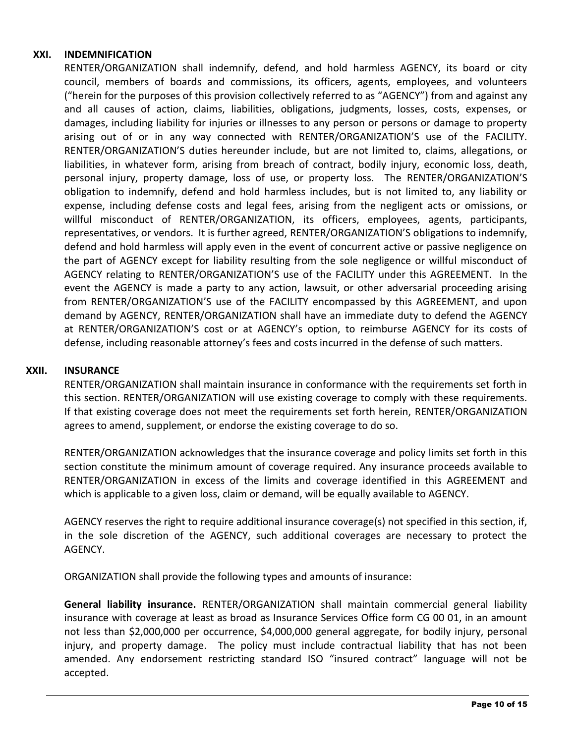#### **XXI. INDEMNIFICATION**

RENTER/ORGANIZATION shall indemnify, defend, and hold harmless AGENCY, its board or city council, members of boards and commissions, its officers, agents, employees, and volunteers ("herein for the purposes of this provision collectively referred to as "AGENCY") from and against any and all causes of action, claims, liabilities, obligations, judgments, losses, costs, expenses, or damages, including liability for injuries or illnesses to any person or persons or damage to property arising out of or in any way connected with RENTER/ORGANIZATION'S use of the FACILITY. RENTER/ORGANIZATION'S duties hereunder include, but are not limited to, claims, allegations, or liabilities, in whatever form, arising from breach of contract, bodily injury, economic loss, death, personal injury, property damage, loss of use, or property loss. The RENTER/ORGANIZATION'S obligation to indemnify, defend and hold harmless includes, but is not limited to, any liability or expense, including defense costs and legal fees, arising from the negligent acts or omissions, or willful misconduct of RENTER/ORGANIZATION, its officers, employees, agents, participants, representatives, or vendors. It is further agreed, RENTER/ORGANIZATION'S obligations to indemnify, defend and hold harmless will apply even in the event of concurrent active or passive negligence on the part of AGENCY except for liability resulting from the sole negligence or willful misconduct of AGENCY relating to RENTER/ORGANIZATION'S use of the FACILITY under this AGREEMENT. In the event the AGENCY is made a party to any action, lawsuit, or other adversarial proceeding arising from RENTER/ORGANIZATION'S use of the FACILITY encompassed by this AGREEMENT, and upon demand by AGENCY, RENTER/ORGANIZATION shall have an immediate duty to defend the AGENCY at RENTER/ORGANIZATION'S cost or at AGENCY's option, to reimburse AGENCY for its costs of defense, including reasonable attorney's fees and costs incurred in the defense of such matters.

#### **XXII. INSURANCE**

RENTER/ORGANIZATION shall maintain insurance in conformance with the requirements set forth in this section. RENTER/ORGANIZATION will use existing coverage to comply with these requirements. If that existing coverage does not meet the requirements set forth herein, RENTER/ORGANIZATION agrees to amend, supplement, or endorse the existing coverage to do so.

RENTER/ORGANIZATION acknowledges that the insurance coverage and policy limits set forth in this section constitute the minimum amount of coverage required. Any insurance proceeds available to RENTER/ORGANIZATION in excess of the limits and coverage identified in this AGREEMENT and which is applicable to a given loss, claim or demand, will be equally available to AGENCY.

AGENCY reserves the right to require additional insurance coverage(s) not specified in this section, if, in the sole discretion of the AGENCY, such additional coverages are necessary to protect the AGENCY.

ORGANIZATION shall provide the following types and amounts of insurance:

**General liability insurance.** RENTER/ORGANIZATION shall maintain commercial general liability insurance with coverage at least as broad as Insurance Services Office form CG 00 01, in an amount not less than \$2,000,000 per occurrence, \$4,000,000 general aggregate, for bodily injury, personal injury, and property damage. The policy must include contractual liability that has not been amended. Any endorsement restricting standard ISO "insured contract" language will not be accepted.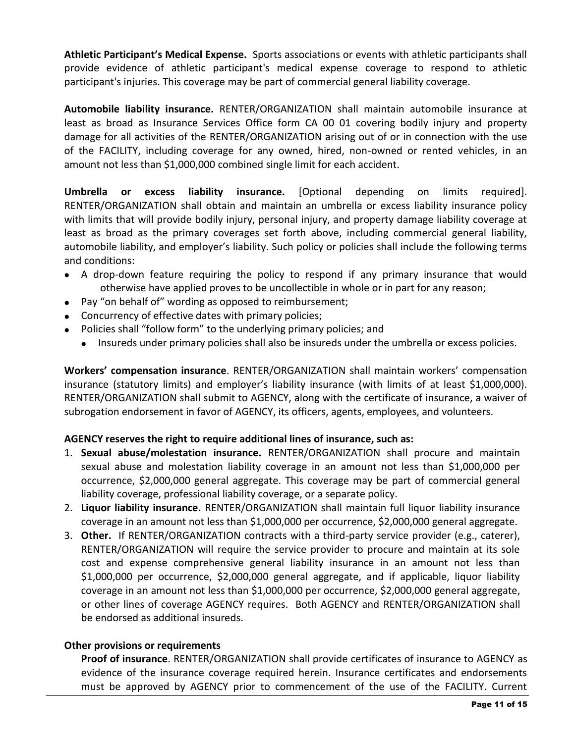**Athletic Participant's Medical Expense.** Sports associations or events with athletic participants shall provide evidence of athletic participant's medical expense coverage to respond to athletic participant's injuries. This coverage may be part of commercial general liability coverage.

**Automobile liability insurance.** RENTER/ORGANIZATION shall maintain automobile insurance at least as broad as Insurance Services Office form CA 00 01 covering bodily injury and property damage for all activities of the RENTER/ORGANIZATION arising out of or in connection with the use of the FACILITY, including coverage for any owned, hired, non-owned or rented vehicles, in an amount not less than \$1,000,000 combined single limit for each accident.

**Umbrella or excess liability insurance.** [Optional depending on limits required]. RENTER/ORGANIZATION shall obtain and maintain an umbrella or excess liability insurance policy with limits that will provide bodily injury, personal injury, and property damage liability coverage at least as broad as the primary coverages set forth above, including commercial general liability, automobile liability, and employer's liability. Such policy or policies shall include the following terms and conditions:

- A drop-down feature requiring the policy to respond if any primary insurance that would otherwise have applied proves to be uncollectible in whole or in part for any reason;
- Pay "on behalf of" wording as opposed to reimbursement;
- Concurrency of effective dates with primary policies;
- Policies shall "follow form" to the underlying primary policies; and
	- Insureds under primary policies shall also be insureds under the umbrella or excess policies.

**Workers' compensation insurance**. RENTER/ORGANIZATION shall maintain workers' compensation insurance (statutory limits) and employer's liability insurance (with limits of at least \$1,000,000). RENTER/ORGANIZATION shall submit to AGENCY, along with the certificate of insurance, a waiver of subrogation endorsement in favor of AGENCY, its officers, agents, employees, and volunteers.

## **AGENCY reserves the right to require additional lines of insurance, such as:**

- 1. **Sexual abuse/molestation insurance.** RENTER/ORGANIZATION shall procure and maintain sexual abuse and molestation liability coverage in an amount not less than \$1,000,000 per occurrence, \$2,000,000 general aggregate. This coverage may be part of commercial general liability coverage, professional liability coverage, or a separate policy.
- 2. **Liquor liability insurance.** RENTER/ORGANIZATION shall maintain full liquor liability insurance coverage in an amount not less than \$1,000,000 per occurrence, \$2,000,000 general aggregate.
- 3. **Other.** If RENTER/ORGANIZATION contracts with a third-party service provider (e.g., caterer), RENTER/ORGANIZATION will require the service provider to procure and maintain at its sole cost and expense comprehensive general liability insurance in an amount not less than \$1,000,000 per occurrence, \$2,000,000 general aggregate, and if applicable, liquor liability coverage in an amount not less than \$1,000,000 per occurrence, \$2,000,000 general aggregate, or other lines of coverage AGENCY requires. Both AGENCY and RENTER/ORGANIZATION shall be endorsed as additional insureds.

## **Other provisions or requirements**

**Proof of insurance**. RENTER/ORGANIZATION shall provide certificates of insurance to AGENCY as evidence of the insurance coverage required herein. Insurance certificates and endorsements must be approved by AGENCY prior to commencement of the use of the FACILITY. Current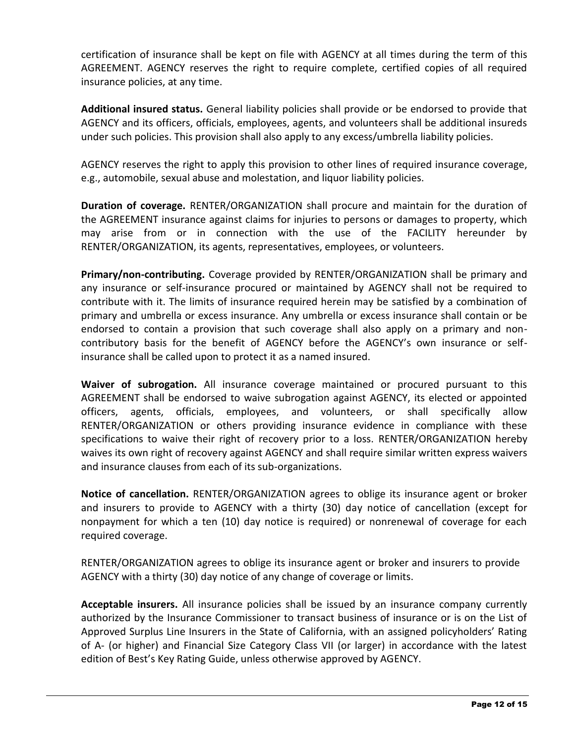certification of insurance shall be kept on file with AGENCY at all times during the term of this AGREEMENT. AGENCY reserves the right to require complete, certified copies of all required insurance policies, at any time.

**Additional insured status.** General liability policies shall provide or be endorsed to provide that AGENCY and its officers, officials, employees, agents, and volunteers shall be additional insureds under such policies. This provision shall also apply to any excess/umbrella liability policies.

AGENCY reserves the right to apply this provision to other lines of required insurance coverage, e.g., automobile, sexual abuse and molestation, and liquor liability policies.

**Duration of coverage.** RENTER/ORGANIZATION shall procure and maintain for the duration of the AGREEMENT insurance against claims for injuries to persons or damages to property, which may arise from or in connection with the use of the FACILITY hereunder by RENTER/ORGANIZATION, its agents, representatives, employees, or volunteers.

**Primary/non-contributing.** Coverage provided by RENTER/ORGANIZATION shall be primary and any insurance or self-insurance procured or maintained by AGENCY shall not be required to contribute with it. The limits of insurance required herein may be satisfied by a combination of primary and umbrella or excess insurance. Any umbrella or excess insurance shall contain or be endorsed to contain a provision that such coverage shall also apply on a primary and noncontributory basis for the benefit of AGENCY before the AGENCY's own insurance or selfinsurance shall be called upon to protect it as a named insured.

**Waiver of subrogation.** All insurance coverage maintained or procured pursuant to this AGREEMENT shall be endorsed to waive subrogation against AGENCY, its elected or appointed officers, agents, officials, employees, and volunteers, or shall specifically allow RENTER/ORGANIZATION or others providing insurance evidence in compliance with these specifications to waive their right of recovery prior to a loss. RENTER/ORGANIZATION hereby waives its own right of recovery against AGENCY and shall require similar written express waivers and insurance clauses from each of its sub-organizations.

**Notice of cancellation.** RENTER/ORGANIZATION agrees to oblige its insurance agent or broker and insurers to provide to AGENCY with a thirty (30) day notice of cancellation (except for nonpayment for which a ten (10) day notice is required) or nonrenewal of coverage for each required coverage.

RENTER/ORGANIZATION agrees to oblige its insurance agent or broker and insurers to provide AGENCY with a thirty (30) day notice of any change of coverage or limits.

**Acceptable insurers.** All insurance policies shall be issued by an insurance company currently authorized by the Insurance Commissioner to transact business of insurance or is on the List of Approved Surplus Line Insurers in the State of California, with an assigned policyholders' Rating of A- (or higher) and Financial Size Category Class VII (or larger) in accordance with the latest edition of Best's Key Rating Guide, unless otherwise approved by AGENCY.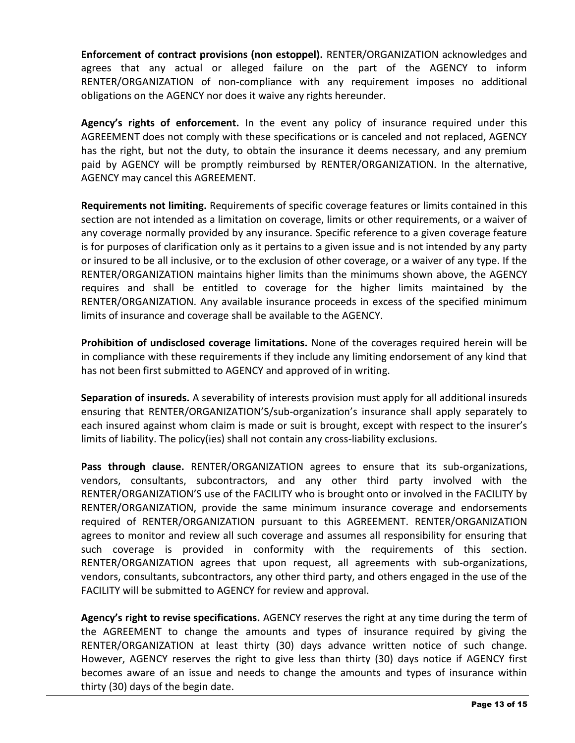**Enforcement of contract provisions (non estoppel).** RENTER/ORGANIZATION acknowledges and agrees that any actual or alleged failure on the part of the AGENCY to inform RENTER/ORGANIZATION of non-compliance with any requirement imposes no additional obligations on the AGENCY nor does it waive any rights hereunder.

**Agency's rights of enforcement.** In the event any policy of insurance required under this AGREEMENT does not comply with these specifications or is canceled and not replaced, AGENCY has the right, but not the duty, to obtain the insurance it deems necessary, and any premium paid by AGENCY will be promptly reimbursed by RENTER/ORGANIZATION. In the alternative, AGENCY may cancel this AGREEMENT.

**Requirements not limiting.** Requirements of specific coverage features or limits contained in this section are not intended as a limitation on coverage, limits or other requirements, or a waiver of any coverage normally provided by any insurance. Specific reference to a given coverage feature is for purposes of clarification only as it pertains to a given issue and is not intended by any party or insured to be all inclusive, or to the exclusion of other coverage, or a waiver of any type. If the RENTER/ORGANIZATION maintains higher limits than the minimums shown above, the AGENCY requires and shall be entitled to coverage for the higher limits maintained by the RENTER/ORGANIZATION. Any available insurance proceeds in excess of the specified minimum limits of insurance and coverage shall be available to the AGENCY.

**Prohibition of undisclosed coverage limitations.** None of the coverages required herein will be in compliance with these requirements if they include any limiting endorsement of any kind that has not been first submitted to AGENCY and approved of in writing.

**Separation of insureds.** A severability of interests provision must apply for all additional insureds ensuring that RENTER/ORGANIZATION'S/sub-organization's insurance shall apply separately to each insured against whom claim is made or suit is brought, except with respect to the insurer's limits of liability. The policy(ies) shall not contain any cross-liability exclusions.

**Pass through clause.** RENTER/ORGANIZATION agrees to ensure that its sub-organizations, vendors, consultants, subcontractors, and any other third party involved with the RENTER/ORGANIZATION'S use of the FACILITY who is brought onto or involved in the FACILITY by RENTER/ORGANIZATION, provide the same minimum insurance coverage and endorsements required of RENTER/ORGANIZATION pursuant to this AGREEMENT. RENTER/ORGANIZATION agrees to monitor and review all such coverage and assumes all responsibility for ensuring that such coverage is provided in conformity with the requirements of this section. RENTER/ORGANIZATION agrees that upon request, all agreements with sub-organizations, vendors, consultants, subcontractors, any other third party, and others engaged in the use of the FACILITY will be submitted to AGENCY for review and approval.

**Agency's right to revise specifications.** AGENCY reserves the right at any time during the term of the AGREEMENT to change the amounts and types of insurance required by giving the RENTER/ORGANIZATION at least thirty (30) days advance written notice of such change. However, AGENCY reserves the right to give less than thirty (30) days notice if AGENCY first becomes aware of an issue and needs to change the amounts and types of insurance within thirty (30) days of the begin date.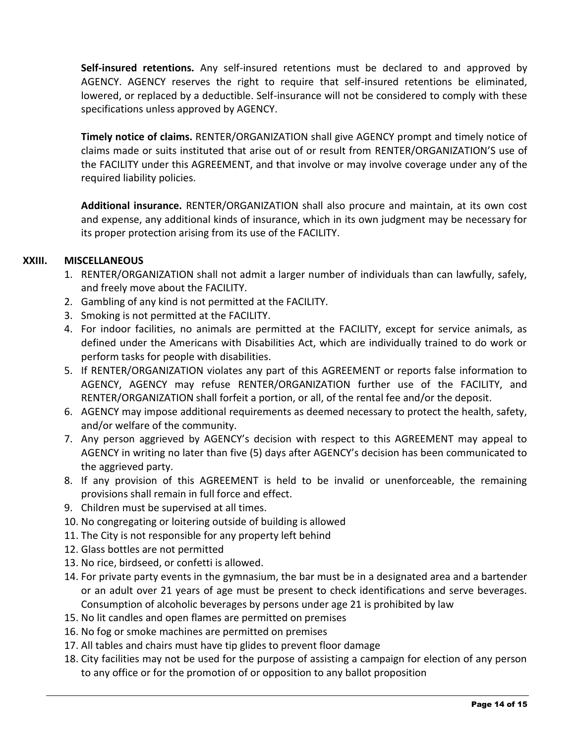**Self-insured retentions.** Any self-insured retentions must be declared to and approved by AGENCY. AGENCY reserves the right to require that self-insured retentions be eliminated, lowered, or replaced by a deductible. Self-insurance will not be considered to comply with these specifications unless approved by AGENCY.

**Timely notice of claims.** RENTER/ORGANIZATION shall give AGENCY prompt and timely notice of claims made or suits instituted that arise out of or result from RENTER/ORGANIZATION'S use of the FACILITY under this AGREEMENT, and that involve or may involve coverage under any of the required liability policies.

**Additional insurance.** RENTER/ORGANIZATION shall also procure and maintain, at its own cost and expense, any additional kinds of insurance, which in its own judgment may be necessary for its proper protection arising from its use of the FACILITY.

## **XXIII. MISCELLANEOUS**

- 1. RENTER/ORGANIZATION shall not admit a larger number of individuals than can lawfully, safely, and freely move about the FACILITY.
- 2. Gambling of any kind is not permitted at the FACILITY.
- 3. Smoking is not permitted at the FACILITY.
- 4. For indoor facilities, no animals are permitted at the FACILITY, except for service animals, as defined under the Americans with Disabilities Act, which are individually trained to do work or perform tasks for people with disabilities.
- 5. If RENTER/ORGANIZATION violates any part of this AGREEMENT or reports false information to AGENCY, AGENCY may refuse RENTER/ORGANIZATION further use of the FACILITY, and RENTER/ORGANIZATION shall forfeit a portion, or all, of the rental fee and/or the deposit.
- 6. AGENCY may impose additional requirements as deemed necessary to protect the health, safety, and/or welfare of the community.
- 7. Any person aggrieved by AGENCY's decision with respect to this AGREEMENT may appeal to AGENCY in writing no later than five (5) days after AGENCY's decision has been communicated to the aggrieved party.
- 8. If any provision of this AGREEMENT is held to be invalid or unenforceable, the remaining provisions shall remain in full force and effect.
- 9. Children must be supervised at all times.
- 10. No congregating or loitering outside of building is allowed
- 11. The City is not responsible for any property left behind
- 12. Glass bottles are not permitted
- 13. No rice, birdseed, or confetti is allowed.
- 14. For private party events in the gymnasium, the bar must be in a designated area and a bartender or an adult over 21 years of age must be present to check identifications and serve beverages. Consumption of alcoholic beverages by persons under age 21 is prohibited by law
- 15. No lit candles and open flames are permitted on premises
- 16. No fog or smoke machines are permitted on premises
- 17. All tables and chairs must have tip glides to prevent floor damage
- 18. City facilities may not be used for the purpose of assisting a campaign for election of any person to any office or for the promotion of or opposition to any ballot proposition